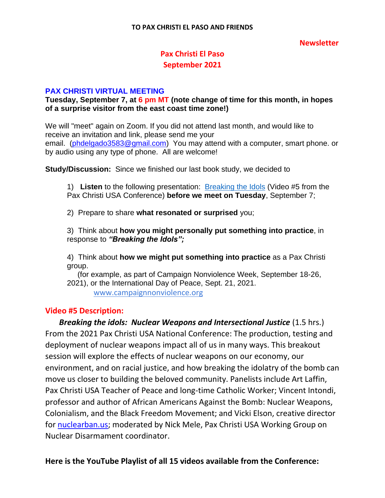**Newsletter**

### **Pax Christi El Paso September 2021**

#### **PAX CHRISTI VIRTUAL MEETING**

#### **Tuesday, September 7, at 6 pm MT (note change of time for this month, in hopes of a surprise visitor from the east coast time zone!)**

We will "meet" again on Zoom. If you did not attend last month, and would like to receive an invitation and link, please send me your email. [\(phdelgado3583@gmail.com\)](mailto:phdelgado3583@gmail.com) You may attend with a computer, smart phone. or by audio using any type of phone. All are welcome!

**Study/Discussion:** Since we finished our last book study, we decided to

1) **Listen** to the following presentation: [Breaking](https://na01.safelinks.protection.outlook.com/?url=https%3A%2F%2Fwww.youtube.com%2Fwatch%3Fv%3DLJhefTVXtP0%26list%3DPLnKdnZlt_EiurTkQuKk4zn1WqfM1-mrZ8%26index%3D5%26t%3D3302s&data=04%7C01%7C%7Cbe2a31cc49d046218b9108d96ffb454e%7C84df9e7fe9f640afb435aaaaaaaaaaaa%7C1%7C0%7C637663947269455813%7CUnknown%7CTWFpbGZsb3d8eyJWIjoiMC4wLjAwMDAiLCJQIjoiV2luMzIiLCJBTiI6Ik1haWwiLCJXVCI6Mn0%3D%7C1000&sdata=XpWTr6%2Bz3ha4HDXlUimVUNuaLB3PVQ698Jam8Nikp3w%3D&reserved=0) the Idols (Video #5 from the Pax Christi USA Conference) **before we meet on Tuesday**, September 7;

2) Prepare to share **what resonated or surprised** you;

3) Think about **how you might personally put something into practice**, in response to *"Breaking the Idols";*

4) Think about **how we might put something into practice** as a Pax Christi group.

(for example, as part of Campaign Nonviolence Week, September 18-26, 2021), or the International Day of Peace, Sept. 21, 2021. [www.campaignnonviolence.org](https://na01.safelinks.protection.outlook.com/?url=https%3A%2F%2Fdefault.salsalabs.org%2FT42510fbf-751c-4c5f-94d8-9339ab7a6291%2F164c6ce7-302a-4fca-82d5-d89e08792b96&data=04%7C01%7C%7Cbe2a31cc49d046218b9108d96ffb454e%7C84df9e7fe9f640afb435aaaaaaaaaaaa%7C1%7C0%7C637663947269455813%7CUnknown%7CTWFpbGZsb3d8eyJWIjoiMC4wLjAwMDAiLCJQIjoiV2luMzIiLCJBTiI6Ik1haWwiLCJXVCI6Mn0%3D%7C1000&sdata=jLcFYYtYNcSNwJkJ6HDBmvwrGKFrf%2BFACKKXHoCekDM%3D&reserved=0)

#### **Video #5 Description:**

 *Breaking the idols: Nuclear Weapons and Intersectional Justice* (1.5 hrs.) From the 2021 Pax Christi USA National Conference: The production, testing and deployment of nuclear weapons impact all of us in many ways. This breakout session will explore the effects of nuclear weapons on our economy, our environment, and on racial justice, and how breaking the idolatry of the bomb can move us closer to building the beloved community. Panelists include Art Laffin, Pax Christi USA Teacher of Peace and long-time Catholic Worker; Vincent Intondi, professor and author of African Americans Against the Bomb: Nuclear Weapons, Colonialism, and the Black Freedom Movement; and Vicki Elson, creative director for [nuclearban.us;](https://na01.safelinks.protection.outlook.com/?url=http%3A%2F%2Fnuclearban.us%2F&data=04%7C01%7C%7Cbe2a31cc49d046218b9108d96ffb454e%7C84df9e7fe9f640afb435aaaaaaaaaaaa%7C1%7C0%7C637663947269465807%7CUnknown%7CTWFpbGZsb3d8eyJWIjoiMC4wLjAwMDAiLCJQIjoiV2luMzIiLCJBTiI6Ik1haWwiLCJXVCI6Mn0%3D%7C1000&sdata=NLpvW05s%2BCNjDBYq%2Bi4pJdlXMVet%2BM4U583u7Y1hQaU%3D&reserved=0) moderated by Nick Mele, Pax Christi USA Working Group on Nuclear Disarmament coordinator.

#### **Here is the YouTube Playlist of all 15 videos available from the Conference:**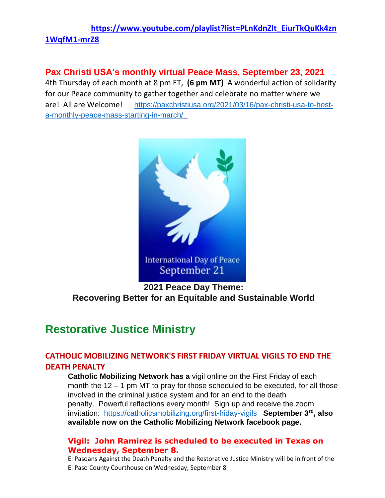# **[https://www.youtube.com/playlist?list=PLnKdnZlt\\_EiurTkQuKk4zn](https://na01.safelinks.protection.outlook.com/?url=https%3A%2F%2Fwww.youtube.com%2Fplaylist%3Flist%3DPLnKdnZlt_EiurTkQuKk4zn1WqfM1-mrZ8&data=04%7C01%7C%7Cbe2a31cc49d046218b9108d96ffb454e%7C84df9e7fe9f640afb435aaaaaaaaaaaa%7C1%7C0%7C637663947269465807%7CUnknown%7CTWFpbGZsb3d8eyJWIjoiMC4wLjAwMDAiLCJQIjoiV2luMzIiLCJBTiI6Ik1haWwiLCJXVCI6Mn0%3D%7C1000&sdata=HKxigv5d8wjyoQO0veGYmgUdsHmxv06wH9dFEUhHQH8%3D&reserved=0)**

### **[1WqfM1-mrZ8](https://na01.safelinks.protection.outlook.com/?url=https%3A%2F%2Fwww.youtube.com%2Fplaylist%3Flist%3DPLnKdnZlt_EiurTkQuKk4zn1WqfM1-mrZ8&data=04%7C01%7C%7Cbe2a31cc49d046218b9108d96ffb454e%7C84df9e7fe9f640afb435aaaaaaaaaaaa%7C1%7C0%7C637663947269465807%7CUnknown%7CTWFpbGZsb3d8eyJWIjoiMC4wLjAwMDAiLCJQIjoiV2luMzIiLCJBTiI6Ik1haWwiLCJXVCI6Mn0%3D%7C1000&sdata=HKxigv5d8wjyoQO0veGYmgUdsHmxv06wH9dFEUhHQH8%3D&reserved=0)**

# **Pax Christi USA's monthly virtual Peace Mass, September 23, 2021**

4th Thursday of each month at 8 pm ET, **(6 pm MT)** A wonderful action of solidarity for our Peace community to gather together and celebrate no matter where we are! All are Welcome! [https://paxchristiusa.org/2021/03/16/pax-christi-usa-to-host](https://na01.safelinks.protection.outlook.com/?url=https%3A%2F%2Fpaxchristiusa.org%2F2021%2F03%2F16%2Fpax-christi-usa-to-host-a-monthly-peace-mass-starting-in-march%2F&data=04%7C01%7C%7Cbe2a31cc49d046218b9108d96ffb454e%7C84df9e7fe9f640afb435aaaaaaaaaaaa%7C1%7C0%7C637663947269475802%7CUnknown%7CTWFpbGZsb3d8eyJWIjoiMC4wLjAwMDAiLCJQIjoiV2luMzIiLCJBTiI6Ik1haWwiLCJXVCI6Mn0%3D%7C1000&sdata=vNRSqY7RPZ%2B2kFCt4J7z2y3Mty0o5pM4PAwadRtt5cU%3D&reserved=0)[a-monthly-peace-mass-starting-in-march/](https://na01.safelinks.protection.outlook.com/?url=https%3A%2F%2Fpaxchristiusa.org%2F2021%2F03%2F16%2Fpax-christi-usa-to-host-a-monthly-peace-mass-starting-in-march%2F&data=04%7C01%7C%7Cbe2a31cc49d046218b9108d96ffb454e%7C84df9e7fe9f640afb435aaaaaaaaaaaa%7C1%7C0%7C637663947269475802%7CUnknown%7CTWFpbGZsb3d8eyJWIjoiMC4wLjAwMDAiLCJQIjoiV2luMzIiLCJBTiI6Ik1haWwiLCJXVCI6Mn0%3D%7C1000&sdata=vNRSqY7RPZ%2B2kFCt4J7z2y3Mty0o5pM4PAwadRtt5cU%3D&reserved=0) 



## **2021 Peace Day Theme: Recovering Better for an Equitable and Sustainable World**

# **Restorative Justice Ministry**

### **CATHOLIC MOBILIZING NETWORK'S FIRST FRIDAY VIRTUAL VIGILS TO END THE DEATH PENALTY**

**Catholic Mobilizing Network has a** vigil online on the First Friday of each month the 12 – 1 pm MT to pray for those scheduled to be executed, for all those involved in the criminal justice system and for an end to the death penalty. Powerful reflections every month! Sign up and receive the zoom invitation: [https://catholicsmobilizing.org/first-friday-vigils](https://na01.safelinks.protection.outlook.com/?url=https%3A%2F%2Fcatholicsmobilizing.org%2Ffirst-friday-vigils&data=04%7C01%7C%7Cbe2a31cc49d046218b9108d96ffb454e%7C84df9e7fe9f640afb435aaaaaaaaaaaa%7C1%7C0%7C637663947269475802%7CUnknown%7CTWFpbGZsb3d8eyJWIjoiMC4wLjAwMDAiLCJQIjoiV2luMzIiLCJBTiI6Ik1haWwiLCJXVCI6Mn0%3D%7C1000&sdata=cvkf9NFo19Yo8RDCY3ElH9%2FjDOqYI6D%2BUi0IqKSvTTQ%3D&reserved=0) **September 3rd, also available now on the Catholic Mobilizing Network facebook page.**

### **Vigil: John Ramirez is scheduled to be executed in Texas on Wednesday, September 8.**

El Pasoans Against the Death Penalty and the Restorative Justice Ministry will be in front of the El Paso County Courthouse on Wednesday, September 8